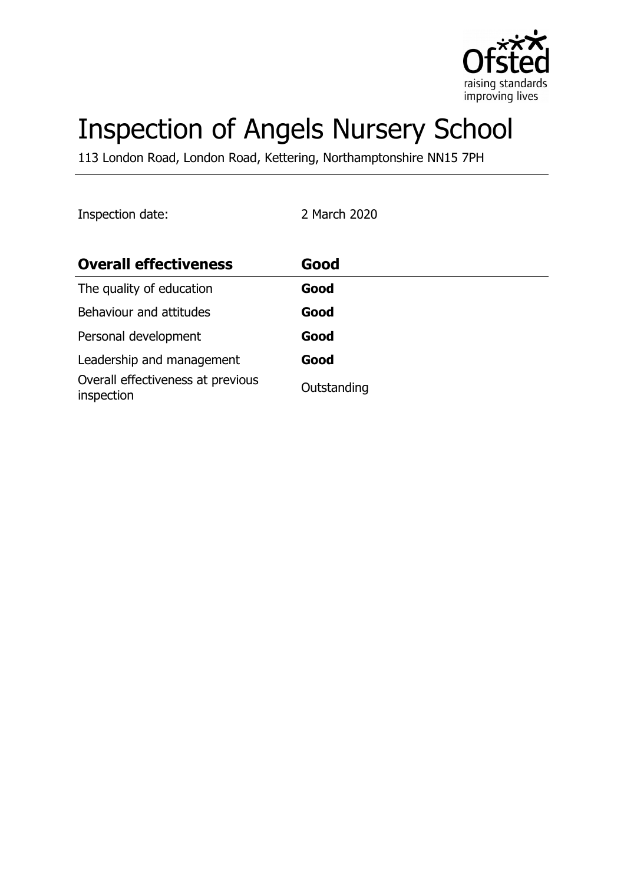

# Inspection of Angels Nursery School

113 London Road, London Road, Kettering, Northamptonshire NN15 7PH

Inspection date: 2 March 2020

| <b>Overall effectiveness</b>                    | Good        |
|-------------------------------------------------|-------------|
| The quality of education                        | Good        |
| Behaviour and attitudes                         | Good        |
| Personal development                            | Good        |
| Leadership and management                       | Good        |
| Overall effectiveness at previous<br>inspection | Outstanding |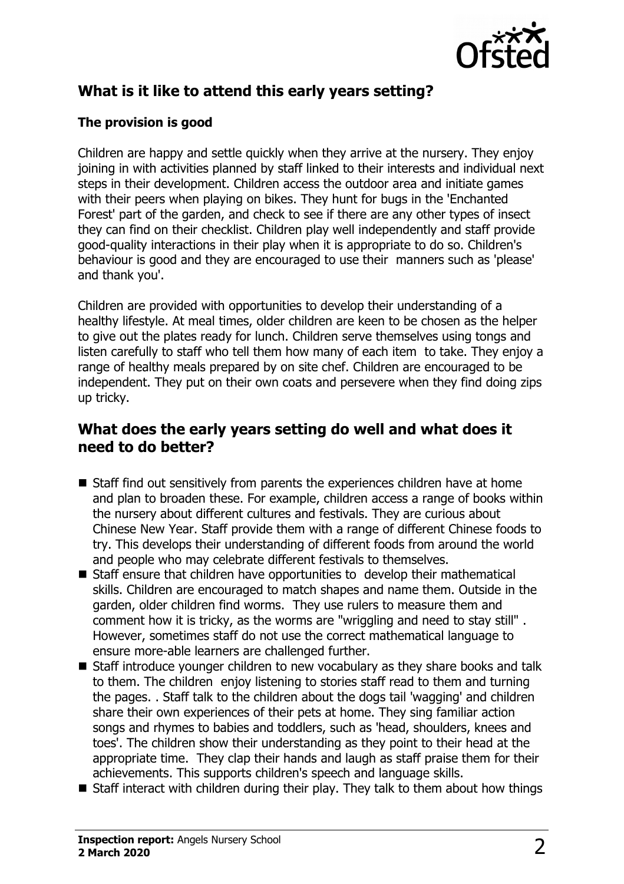

# **What is it like to attend this early years setting?**

## **The provision is good**

Children are happy and settle quickly when they arrive at the nursery. They enjoy joining in with activities planned by staff linked to their interests and individual next steps in their development. Children access the outdoor area and initiate games with their peers when playing on bikes. They hunt for bugs in the 'Enchanted Forest' part of the garden, and check to see if there are any other types of insect they can find on their checklist. Children play well independently and staff provide good-quality interactions in their play when it is appropriate to do so. Children's behaviour is good and they are encouraged to use their manners such as 'please' and thank you'.

Children are provided with opportunities to develop their understanding of a healthy lifestyle. At meal times, older children are keen to be chosen as the helper to give out the plates ready for lunch. Children serve themselves using tongs and listen carefully to staff who tell them how many of each item to take. They enjoy a range of healthy meals prepared by on site chef. Children are encouraged to be independent. They put on their own coats and persevere when they find doing zips up tricky.

# **What does the early years setting do well and what does it need to do better?**

- Staff find out sensitively from parents the experiences children have at home and plan to broaden these. For example, children access a range of books within the nursery about different cultures and festivals. They are curious about Chinese New Year. Staff provide them with a range of different Chinese foods to try. This develops their understanding of different foods from around the world and people who may celebrate different festivals to themselves.
- Staff ensure that children have opportunities to develop their mathematical skills. Children are encouraged to match shapes and name them. Outside in the garden, older children find worms. They use rulers to measure them and comment how it is tricky, as the worms are "wriggling and need to stay still" . However, sometimes staff do not use the correct mathematical language to ensure more-able learners are challenged further.
- Staff introduce younger children to new vocabulary as they share books and talk to them. The children enjoy listening to stories staff read to them and turning the pages. . Staff talk to the children about the dogs tail 'wagging' and children share their own experiences of their pets at home. They sing familiar action songs and rhymes to babies and toddlers, such as 'head, shoulders, knees and toes'. The children show their understanding as they point to their head at the appropriate time. They clap their hands and laugh as staff praise them for their achievements. This supports children's speech and language skills.
- $\blacksquare$  Staff interact with children during their play. They talk to them about how things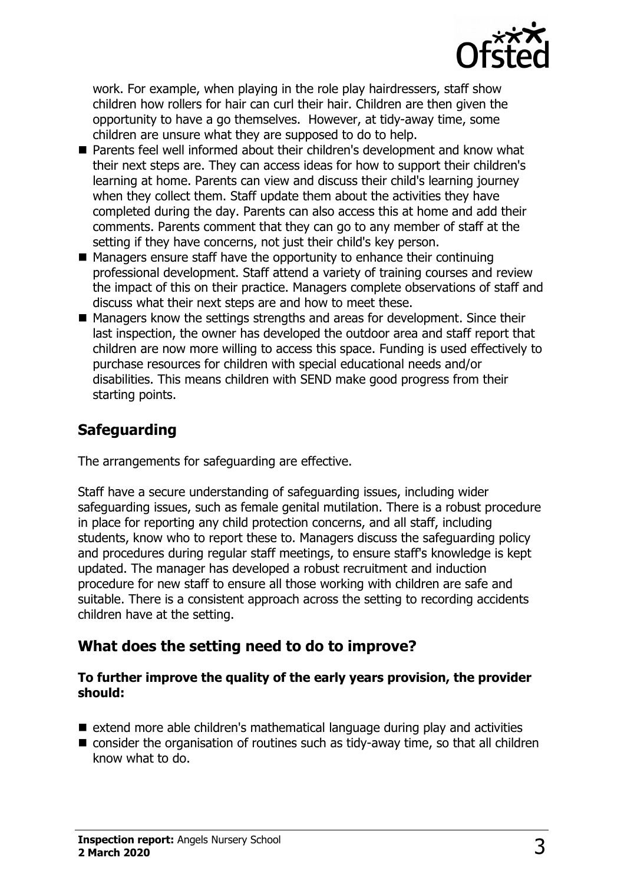

work. For example, when playing in the role play hairdressers, staff show children how rollers for hair can curl their hair. Children are then given the opportunity to have a go themselves. However, at tidy-away time, some children are unsure what they are supposed to do to help.

- Parents feel well informed about their children's development and know what their next steps are. They can access ideas for how to support their children's learning at home. Parents can view and discuss their child's learning journey when they collect them. Staff update them about the activities they have completed during the day. Parents can also access this at home and add their comments. Parents comment that they can go to any member of staff at the setting if they have concerns, not just their child's key person.
- $\blacksquare$  Managers ensure staff have the opportunity to enhance their continuing professional development. Staff attend a variety of training courses and review the impact of this on their practice. Managers complete observations of staff and discuss what their next steps are and how to meet these.
- $\blacksquare$  Managers know the settings strengths and areas for development. Since their last inspection, the owner has developed the outdoor area and staff report that children are now more willing to access this space. Funding is used effectively to purchase resources for children with special educational needs and/or disabilities. This means children with SEND make good progress from their starting points.

## **Safeguarding**

The arrangements for safeguarding are effective.

Staff have a secure understanding of safeguarding issues, including wider safeguarding issues, such as female genital mutilation. There is a robust procedure in place for reporting any child protection concerns, and all staff, including students, know who to report these to. Managers discuss the safeguarding policy and procedures during regular staff meetings, to ensure staff's knowledge is kept updated. The manager has developed a robust recruitment and induction procedure for new staff to ensure all those working with children are safe and suitable. There is a consistent approach across the setting to recording accidents children have at the setting.

## **What does the setting need to do to improve?**

#### **To further improve the quality of the early years provision, the provider should:**

- $\blacksquare$  extend more able children's mathematical language during play and activities
- $\blacksquare$  consider the organisation of routines such as tidy-away time, so that all children know what to do.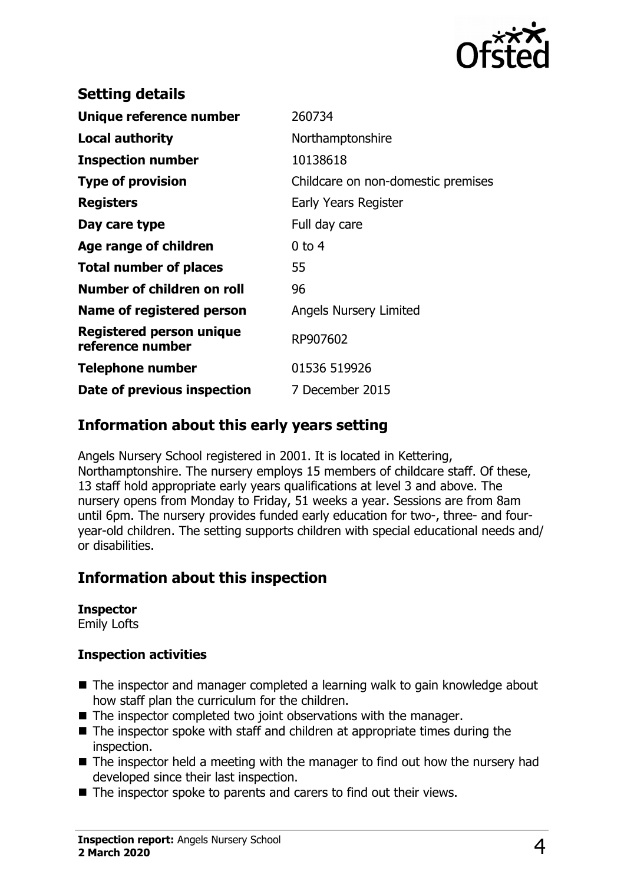

| <b>Setting details</b>                       |                                    |
|----------------------------------------------|------------------------------------|
| Unique reference number                      | 260734                             |
| <b>Local authority</b>                       | Northamptonshire                   |
| <b>Inspection number</b>                     | 10138618                           |
| <b>Type of provision</b>                     | Childcare on non-domestic premises |
| <b>Registers</b>                             | Early Years Register               |
| Day care type                                | Full day care                      |
| Age range of children                        | $0$ to 4                           |
| <b>Total number of places</b>                | 55                                 |
| Number of children on roll                   | 96                                 |
| Name of registered person                    | <b>Angels Nursery Limited</b>      |
| Registered person unique<br>reference number | RP907602                           |
| <b>Telephone number</b>                      | 01536 519926                       |
| Date of previous inspection                  | 7 December 2015                    |
|                                              |                                    |

# **Information about this early years setting**

Angels Nursery School registered in 2001. It is located in Kettering, Northamptonshire. The nursery employs 15 members of childcare staff. Of these, 13 staff hold appropriate early years qualifications at level 3 and above. The nursery opens from Monday to Friday, 51 weeks a year. Sessions are from 8am until 6pm. The nursery provides funded early education for two-, three- and fouryear-old children. The setting supports children with special educational needs and/ or disabilities.

# **Information about this inspection**

## **Inspector**

Emily Lofts

## **Inspection activities**

- $\blacksquare$  The inspector and manager completed a learning walk to gain knowledge about how staff plan the curriculum for the children.
- $\blacksquare$  The inspector completed two joint observations with the manager.
- $\blacksquare$  The inspector spoke with staff and children at appropriate times during the inspection.
- $\blacksquare$  The inspector held a meeting with the manager to find out how the nursery had developed since their last inspection.
- $\blacksquare$  The inspector spoke to parents and carers to find out their views.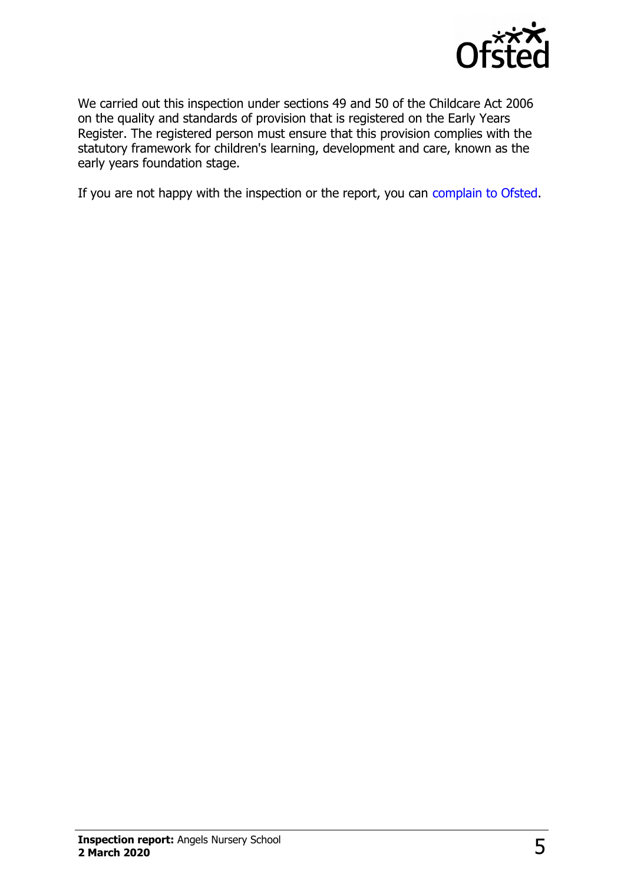

We carried out this inspection under sections 49 and 50 of the Childcare Act 2006 on the quality and standards of provision that is registered on the Early Years Register. The registered person must ensure that this provision complies with the statutory framework for children's learning, development and care, known as the early years foundation stage.

If you are not happy with the inspection or the report, you can [complain to Ofsted.](http://www.gov.uk/complain-ofsted-report)